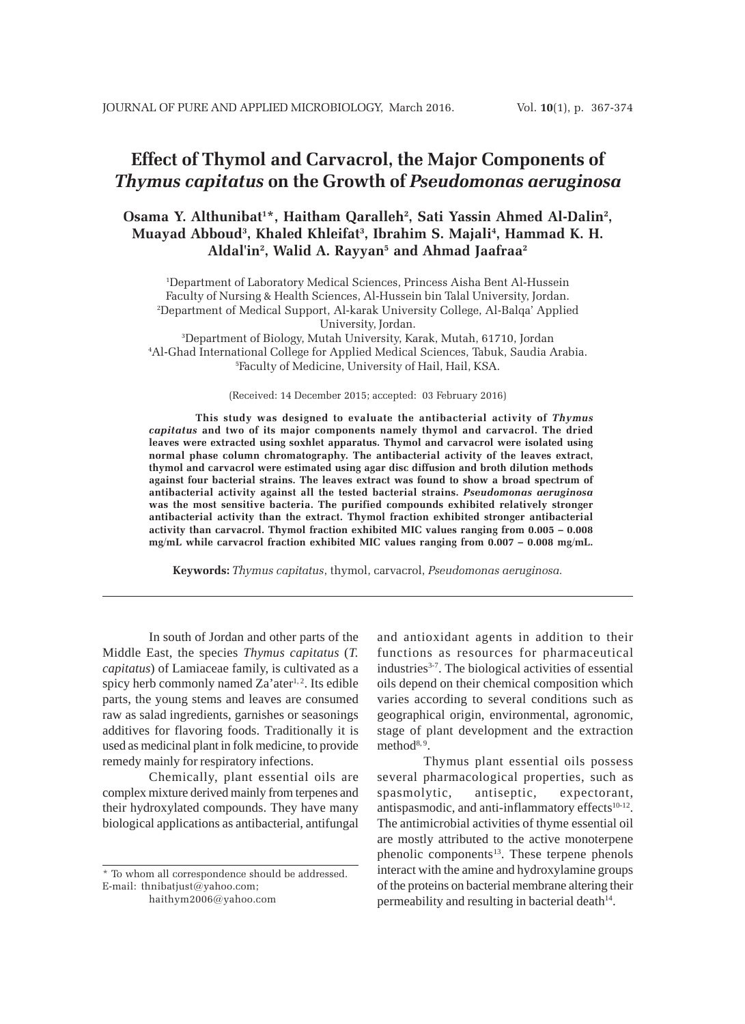## **Effect of Thymol and Carvacrol, the Major Components of** *Thymus capitatus* **on the Growth of** *Pseudomonas aeruginosa*

## Osama Y. Althunibat<sup>1\*</sup>, Haitham Qaralleh<sup>2</sup>, Sati Yassin Ahmed Al-Dalin<sup>2</sup>, **Muayad Abboud3 , Khaled Khleifat3 , Ibrahim S. Majali4 , Hammad K. H. Aldal'in2 , Walid A. Rayyan5 and Ahmad Jaafraa2**

1 Department of Laboratory Medical Sciences, Princess Aisha Bent Al-Hussein Faculty of Nursing & Health Sciences, Al-Hussein bin Talal University, Jordan. 2 Department of Medical Support, Al-karak University College, Al-Balqa' Applied University, Jordan.

3 Department of Biology, Mutah University, Karak, Mutah, 61710, Jordan 4 Al-Ghad International College for Applied Medical Sciences, Tabuk, Saudia Arabia. 5 Faculty of Medicine, University of Hail, Hail, KSA.

(Received: 14 December 2015; accepted: 03 February 2016)

**This study was designed to evaluate the antibacterial activity of** *Thymus capitatus* **and two of its major components namely thymol and carvacrol. The dried leaves were extracted using soxhlet apparatus. Thymol and carvacrol were isolated using normal phase column chromatography. The antibacterial activity of the leaves extract, thymol and carvacrol were estimated using agar disc diffusion and broth dilution methods against four bacterial strains. The leaves extract was found to show a broad spectrum of antibacterial activity against all the tested bacterial strains.** *Pseudomonas aeruginosa* **was the most sensitive bacteria. The purified compounds exhibited relatively stronger antibacterial activity than the extract. Thymol fraction exhibited stronger antibacterial activity than carvacrol. Thymol fraction exhibited MIC values ranging from 0.005 – 0.008 mg**/**mL while carvacrol fraction exhibited MIC values ranging from 0.007 – 0.008 mg**/**mL.**

**Keywords:** *Thymus capitatus*, thymol, carvacrol, *Pseudomonas aeruginosa.*

In south of Jordan and other parts of the Middle East, the species *Thymus capitatus* (*T. capitatus*) of Lamiaceae family, is cultivated as a spicy herb commonly named  $Za'$ ater<sup>1, 2</sup>. Its edible parts, the young stems and leaves are consumed raw as salad ingredients, garnishes or seasonings additives for flavoring foods. Traditionally it is used as medicinal plant in folk medicine, to provide remedy mainly for respiratory infections.

Chemically, plant essential oils are complex mixture derived mainly from terpenes and their hydroxylated compounds. They have many biological applications as antibacterial, antifungal

\* To whom all correspondence should be addressed. E-mail: thnibatjust@yahoo.com; haithym2006@yahoo.com

and antioxidant agents in addition to their functions as resources for pharmaceutical industries<sup>3-7</sup>. The biological activities of essential oils depend on their chemical composition which varies according to several conditions such as geographical origin, environmental, agronomic, stage of plant development and the extraction method<sup>8, 9</sup>.

Thymus plant essential oils possess several pharmacological properties, such as spasmolytic, antiseptic, expectorant, antispasmodic, and anti-inflammatory effects<sup>10-12</sup>. The antimicrobial activities of thyme essential oil are mostly attributed to the active monoterpene phenolic components<sup>13</sup>. These terpene phenols interact with the amine and hydroxylamine groups of the proteins on bacterial membrane altering their permeability and resulting in bacterial death $14$ .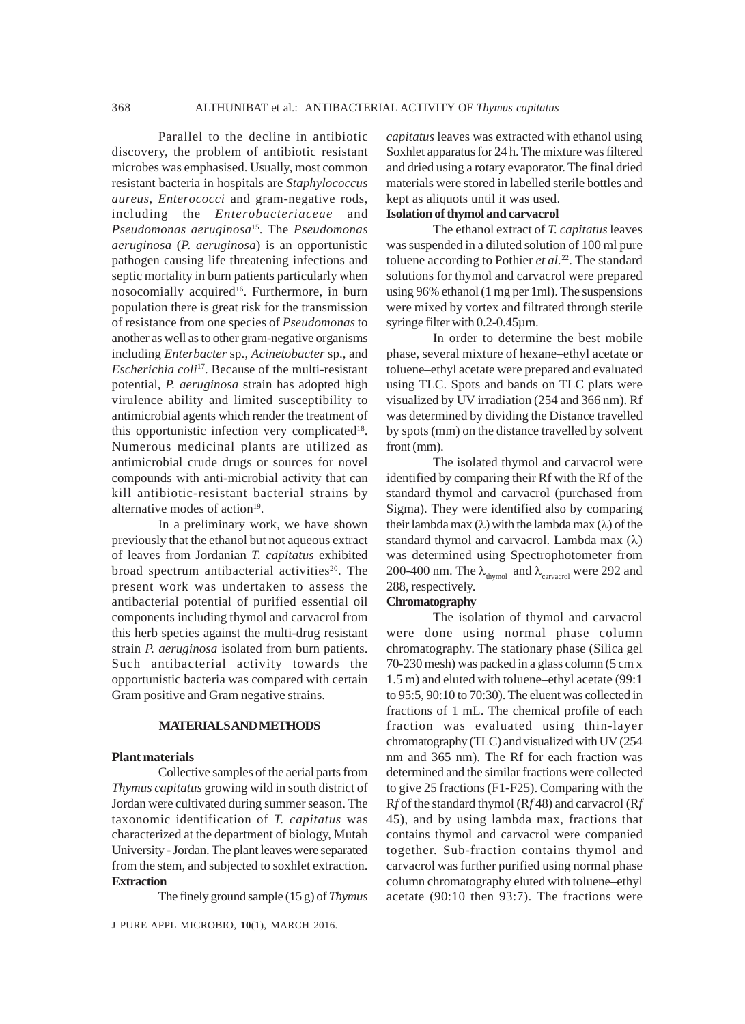Parallel to the decline in antibiotic discovery, the problem of antibiotic resistant microbes was emphasised. Usually, most common resistant bacteria in hospitals are *Staphylococcus aureus*, *Enterococci* and gram-negative rods, including the *Enterobacteriaceae* and *Pseudomonas aeruginosa*15. The *Pseudomonas aeruginosa* (*P. aeruginosa*) is an opportunistic pathogen causing life threatening infections and septic mortality in burn patients particularly when nosocomially acquired<sup>16</sup>. Furthermore, in burn population there is great risk for the transmission of resistance from one species of *Pseudomonas* to another as well as to other gram-negative organisms including *Enterbacter* sp., *Acinetobacter* sp., and *Escherichia coli*17. Because of the multi-resistant potential, *P. aeruginosa* strain has adopted high virulence ability and limited susceptibility to antimicrobial agents which render the treatment of this opportunistic infection very complicated $18$ . Numerous medicinal plants are utilized as antimicrobial crude drugs or sources for novel compounds with anti-microbial activity that can kill antibiotic-resistant bacterial strains by alternative modes of action $19$ .

In a preliminary work, we have shown previously that the ethanol but not aqueous extract of leaves from Jordanian *T. capitatus* exhibited broad spectrum antibacterial activities<sup>20</sup>. The present work was undertaken to assess the antibacterial potential of purified essential oil components including thymol and carvacrol from this herb species against the multi-drug resistant strain *P. aeruginosa* isolated from burn patients. Such antibacterial activity towards the opportunistic bacteria was compared with certain Gram positive and Gram negative strains.

### **MATERIALS AND METHODS**

#### **Plant materials**

Collective samples of the aerial parts from *Thymus capitatus* growing wild in south district of Jordan were cultivated during summer season. The taxonomic identification of *T. capitatus* was characterized at the department of biology, Mutah University - Jordan. The plant leaves were separated from the stem, and subjected to soxhlet extraction. **Extraction**

The finely ground sample (15 g) of *Thymus*

J PURE APPL MICROBIO*,* **10**(1), MARCH 2016.

*capitatus* leaves was extracted with ethanol using Soxhlet apparatus for 24 h. The mixture was filtered and dried using a rotary evaporator. The final dried materials were stored in labelled sterile bottles and kept as aliquots until it was used.

## **Isolation of thymol and carvacrol**

The ethanol extract of *T. capitatus* leaves was suspended in a diluted solution of 100 ml pure toluene according to Pothier *et al.*22. The standard solutions for thymol and carvacrol were prepared using 96% ethanol (1 mg per 1ml). The suspensions were mixed by vortex and filtrated through sterile syringe filter with 0.2-0.45µm.

In order to determine the best mobile phase, several mixture of hexane–ethyl acetate or toluene–ethyl acetate were prepared and evaluated using TLC. Spots and bands on TLC plats were visualized by UV irradiation (254 and 366 nm). Rf was determined by dividing the Distance travelled by spots (mm) on the distance travelled by solvent front (mm).

The isolated thymol and carvacrol were identified by comparing their Rf with the Rf of the standard thymol and carvacrol (purchased from Sigma). They were identified also by comparing their lambda max (λ) with the lambda max (λ) of the standard thymol and carvacrol. Lambda max (λ) was determined using Spectrophotometer from 200-400 nm. The  $\lambda_{\textrm{\tiny{thymol}}}$  and  $\lambda_{\textrm{\tiny{caryacrol}}}$  were 292 and 288, respectively.

### **Chromatography**

The isolation of thymol and carvacrol were done using normal phase column chromatography. The stationary phase (Silica gel 70-230 mesh) was packed in a glass column (5 cm x 1.5 m) and eluted with toluene–ethyl acetate (99:1 to 95:5, 90:10 to 70:30). The eluent was collected in fractions of 1 mL. The chemical profile of each fraction was evaluated using thin-layer chromatography (TLC) and visualized with UV (254 nm and 365 nm). The Rf for each fraction was determined and the similar fractions were collected to give 25 fractions (F1-F25). Comparing with the R*f* of the standard thymol (R*f* 48) and carvacrol (R*f* 45), and by using lambda max, fractions that contains thymol and carvacrol were companied together. Sub-fraction contains thymol and carvacrol was further purified using normal phase column chromatography eluted with toluene–ethyl acetate (90:10 then 93:7). The fractions were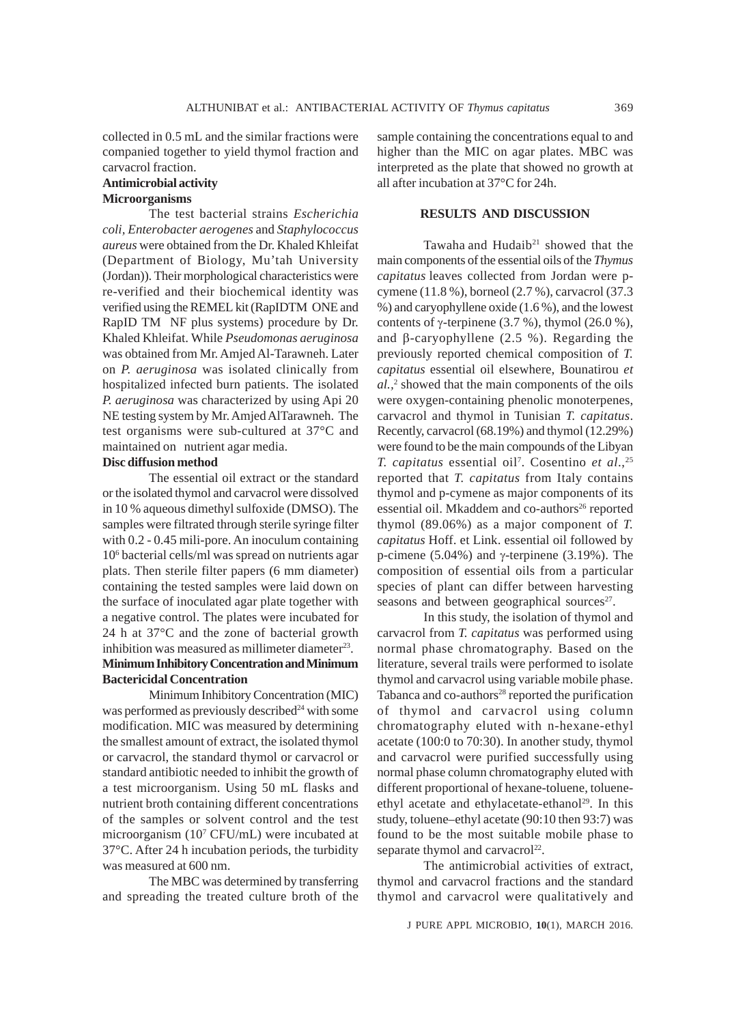collected in 0.5 mL and the similar fractions were companied together to yield thymol fraction and carvacrol fraction.

# **Antimicrobial activity**

## **Microorganisms**

The test bacterial strains *Escherichia coli, Enterobacter aerogenes* and *Staphylococcus aureus* were obtained from the Dr. Khaled Khleifat (Department of Biology, Mu'tah University (Jordan)). Their morphological characteristics were re-verified and their biochemical identity was verified using the REMEL kit (RapIDTM ONE and RapID TM NF plus systems) procedure by Dr. Khaled Khleifat. While *Pseudomonas aeruginosa* was obtained from Mr. Amjed Al-Tarawneh. Later on *P. aeruginosa* was isolated clinically from hospitalized infected burn patients. The isolated *P. aeruginosa* was characterized by using Api 20 NE testing system by Mr. Amjed AlTarawneh. The test organisms were sub-cultured at 37°C and maintained on nutrient agar media.

### **Disc diffusion method**

The essential oil extract or the standard or the isolated thymol and carvacrol were dissolved in 10 % aqueous dimethyl sulfoxide (DMSO). The samples were filtrated through sterile syringe filter with 0.2 - 0.45 mili-pore. An inoculum containing 106 bacterial cells/ml was spread on nutrients agar plats. Then sterile filter papers (6 mm diameter) containing the tested samples were laid down on the surface of inoculated agar plate together with a negative control. The plates were incubated for 24 h at 37°C and the zone of bacterial growth inhibition was measured as millimeter diameter $23$ . **Minimum Inhibitory Concentration and Minimum Bactericidal Concentration**

Minimum Inhibitory Concentration (MIC) was performed as previously described<sup>24</sup> with some modification. MIC was measured by determining the smallest amount of extract, the isolated thymol or carvacrol, the standard thymol or carvacrol or standard antibiotic needed to inhibit the growth of a test microorganism. Using 50 mL flasks and nutrient broth containing different concentrations of the samples or solvent control and the test microorganism (107 CFU/mL) were incubated at 37°C. After 24 h incubation periods, the turbidity was measured at 600 nm.

The MBC was determined by transferring and spreading the treated culture broth of the sample containing the concentrations equal to and higher than the MIC on agar plates. MBC was interpreted as the plate that showed no growth at all after incubation at 37°C for 24h.

### **RESULTS AND DISCUSSION**

Tawaha and Hudaib<sup>21</sup> showed that the main components of the essential oils of the *Thymus capitatus* leaves collected from Jordan were pcymene (11.8 %), borneol (2.7 %), carvacrol (37.3 %) and caryophyllene oxide (1.6 %), and the lowest contents of γ-terpinene  $(3.7 %)$ , thymol  $(26.0 %)$ , and β-caryophyllene (2.5 %). Regarding the previously reported chemical composition of *T. capitatus* essential oil elsewhere, Bounatirou *et al.,*<sup>2</sup> showed that the main components of the oils were oxygen-containing phenolic monoterpenes, carvacrol and thymol in Tunisian *T. capitatus*. Recently, carvacrol (68.19%) and thymol (12.29%) were found to be the main compounds of the Libyan *T. capitatus* essential oil7 . Cosentino *et al*.,25 reported that *T. capitatus* from Italy contains thymol and p-cymene as major components of its essential oil. Mkaddem and co-authors<sup>26</sup> reported thymol (89.06%) as a major component of *T. capitatus* Hoff. et Link. essential oil followed by p-cimene (5.04%) and γ-terpinene (3.19%). The composition of essential oils from a particular species of plant can differ between harvesting seasons and between geographical sources $27$ .

In this study, the isolation of thymol and carvacrol from *T. capitatus* was performed using normal phase chromatography. Based on the literature, several trails were performed to isolate thymol and carvacrol using variable mobile phase. Tabanca and co-authors<sup>28</sup> reported the purification of thymol and carvacrol using column chromatography eluted with n-hexane-ethyl acetate (100:0 to 70:30). In another study, thymol and carvacrol were purified successfully using normal phase column chromatography eluted with different proportional of hexane-toluene, tolueneethyl acetate and ethylacetate-ethanol<sup>29</sup>. In this study, toluene–ethyl acetate (90:10 then 93:7) was found to be the most suitable mobile phase to separate thymol and carvacrol $^{22}$ .

The antimicrobial activities of extract, thymol and carvacrol fractions and the standard thymol and carvacrol were qualitatively and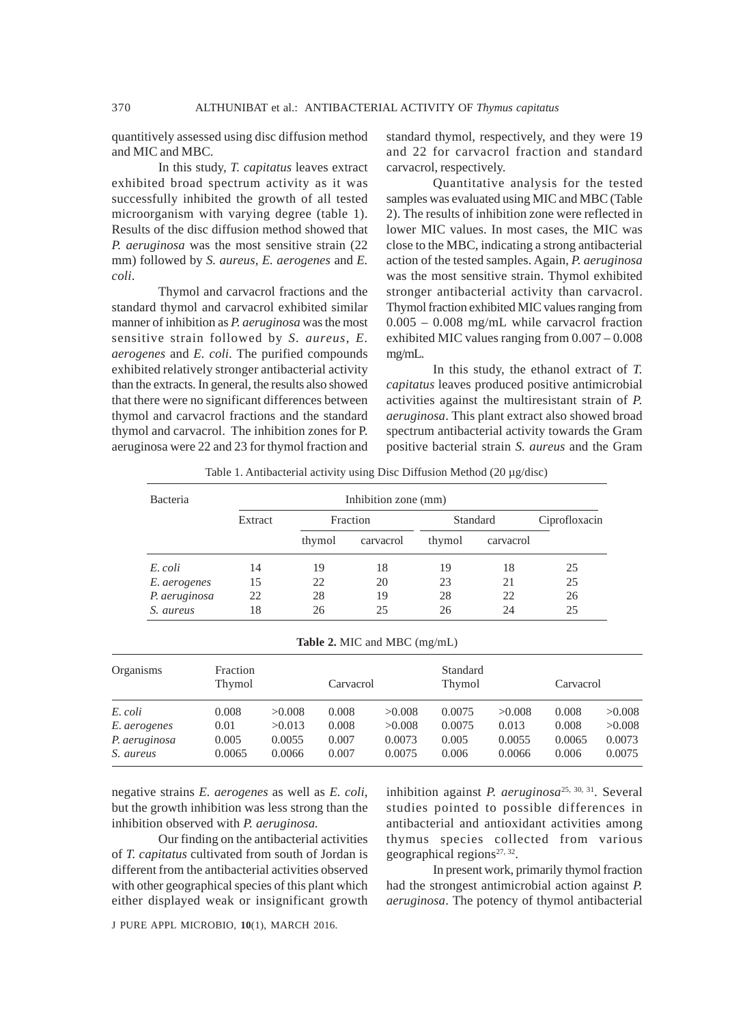quantitively assessed using disc diffusion method and MIC and MBC.

In this study, *T. capitatus* leaves extract exhibited broad spectrum activity as it was successfully inhibited the growth of all tested microorganism with varying degree (table 1). Results of the disc diffusion method showed that *P. aeruginosa* was the most sensitive strain (22 mm) followed by *S. aureus, E. aerogenes* and *E. coli*.

Thymol and carvacrol fractions and the standard thymol and carvacrol exhibited similar manner of inhibition as *P. aeruginosa* was the most sensitive strain followed by *S. aureus*, *E. aerogenes* and *E. coli*. The purified compounds exhibited relatively stronger antibacterial activity than the extracts. In general, the results also showed that there were no significant differences between thymol and carvacrol fractions and the standard thymol and carvacrol. The inhibition zones for P. aeruginosa were 22 and 23 for thymol fraction and

standard thymol, respectively, and they were 19 and 22 for carvacrol fraction and standard carvacrol, respectively.

Quantitative analysis for the tested samples was evaluated using MIC and MBC (Table 2). The results of inhibition zone were reflected in lower MIC values. In most cases, the MIC was close to the MBC, indicating a strong antibacterial action of the tested samples. Again, *P. aeruginosa* was the most sensitive strain. Thymol exhibited stronger antibacterial activity than carvacrol. Thymol fraction exhibited MIC values ranging from 0.005 – 0.008 mg/mL while carvacrol fraction exhibited MIC values ranging from 0.007 – 0.008 mg/mL.

In this study, the ethanol extract of *T. capitatus* leaves produced positive antimicrobial activities against the multiresistant strain of *P. aeruginosa*. This plant extract also showed broad spectrum antibacterial activity towards the Gram positive bacterial strain *S. aureus* and the Gram

| Table 1. Antibacterial activity using Disc Diffusion Method $(20 \mu g/disc)$ |  |  |  |  |  |  |  |  |
|-------------------------------------------------------------------------------|--|--|--|--|--|--|--|--|
|-------------------------------------------------------------------------------|--|--|--|--|--|--|--|--|

| Bacteria      | Inhibition zone (mm) |          |           |          |           |               |  |
|---------------|----------------------|----------|-----------|----------|-----------|---------------|--|
|               | Extract              | Fraction |           | Standard |           | Ciprofloxacin |  |
|               |                      | thymol   | carvacrol | thymol   | carvacrol |               |  |
| E. coli       | 14                   | 19       | 18        | 19       | 18        | 25            |  |
| E. aerogenes  | 15                   | 22       | 20        | 23       | 21        | 25            |  |
| P. aeruginosa | 22                   | 28       | 19        | 28       | 22        | 26            |  |
| S. aureus     | 18                   | 26       | 25        | 26       | 24        | 25            |  |

**Table 2.** MIC and MBC (mg/mL)

| Organisms     | Fraction<br>Thymol |        | Carvacrol |        | Standard<br>Thymol |        | Carvacrol |        |
|---------------|--------------------|--------|-----------|--------|--------------------|--------|-----------|--------|
| E. coli       | 0.008              | >0.008 | 0.008     | >0.008 | 0.0075             | >0.008 | 0.008     | >0.008 |
| E. aerogenes  | 0.01               | >0.013 | 0.008     | >0.008 | 0.0075             | 0.013  | 0.008     | >0.008 |
| P. aeruginosa | 0.005              | 0.0055 | 0.007     | 0.0073 | 0.005              | 0.0055 | 0.0065    | 0.0073 |
| S. aureus     | 0.0065             | 0.0066 | 0.007     | 0.0075 | 0.006              | 0.0066 | 0.006     | 0.0075 |

negative strains *E. aerogenes* as well as *E. coli*, but the growth inhibition was less strong than the inhibition observed with *P. aeruginosa.*

Our finding on the antibacterial activities of *T. capitatus* cultivated from south of Jordan is different from the antibacterial activities observed with other geographical species of this plant which either displayed weak or insignificant growth

inhibition against *P. aeruginosa*25, 30, 31. Several studies pointed to possible differences in antibacterial and antioxidant activities among thymus species collected from various geographical regions $27, 32$ .

In present work, primarily thymol fraction had the strongest antimicrobial action against *P. aeruginosa*. The potency of thymol antibacterial

J PURE APPL MICROBIO*,* **10**(1), MARCH 2016.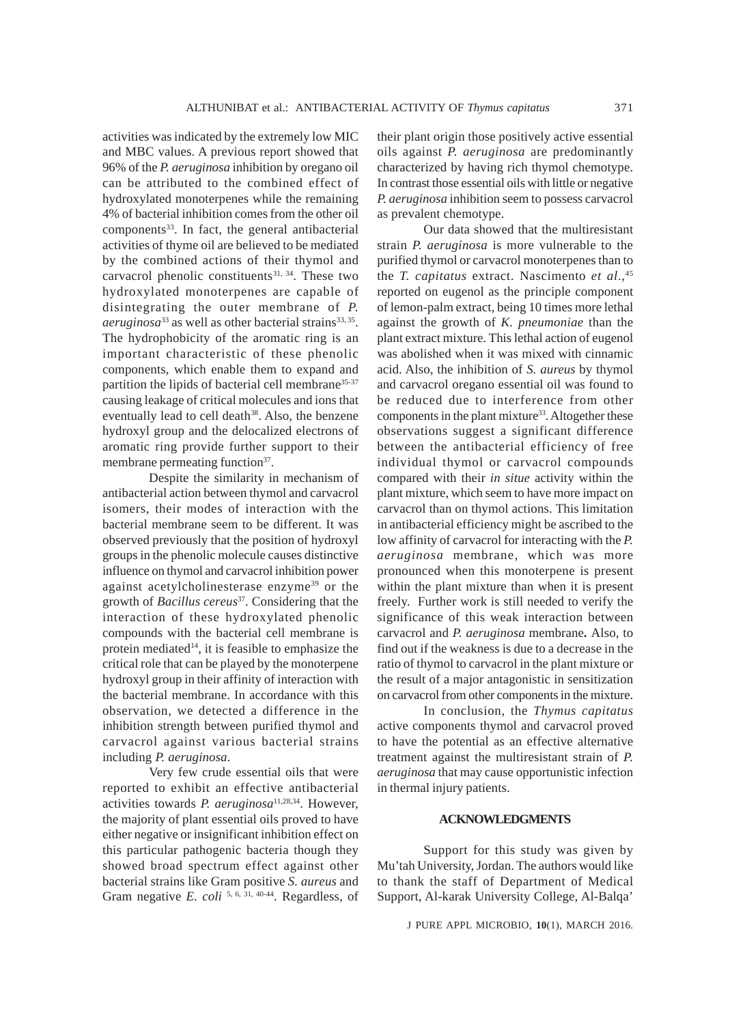activities was indicated by the extremely low MIC and MBC values. A previous report showed that 96% of the *P. aeruginosa* inhibition by oregano oil can be attributed to the combined effect of hydroxylated monoterpenes while the remaining 4% of bacterial inhibition comes from the other oil components<sup>33</sup>. In fact, the general antibacterial activities of thyme oil are believed to be mediated by the combined actions of their thymol and carvacrol phenolic constituents<sup>31, 34</sup>. These two hydroxylated monoterpenes are capable of disintegrating the outer membrane of *P.*  $aeruginosa^{33}$  as well as other bacterial strains<sup>33, 35</sup>. The hydrophobicity of the aromatic ring is an important characteristic of these phenolic components, which enable them to expand and partition the lipids of bacterial cell membrane<sup>35-37</sup> causing leakage of critical molecules and ions that eventually lead to cell death<sup>38</sup>. Also, the benzene hydroxyl group and the delocalized electrons of aromatic ring provide further support to their membrane permeating function<sup>37</sup>.

Despite the similarity in mechanism of antibacterial action between thymol and carvacrol isomers, their modes of interaction with the bacterial membrane seem to be different. It was observed previously that the position of hydroxyl groups in the phenolic molecule causes distinctive influence on thymol and carvacrol inhibition power against acetylcholinesterase enzyme39 or the growth of *Bacillus cereus*37. Considering that the interaction of these hydroxylated phenolic compounds with the bacterial cell membrane is protein mediated<sup>14</sup>, it is feasible to emphasize the critical role that can be played by the monoterpene hydroxyl group in their affinity of interaction with the bacterial membrane. In accordance with this observation, we detected a difference in the inhibition strength between purified thymol and carvacrol against various bacterial strains including *P. aeruginosa*.

Very few crude essential oils that were reported to exhibit an effective antibacterial activities towards *P. aeruginosa*11,28,34. However, the majority of plant essential oils proved to have either negative or insignificant inhibition effect on this particular pathogenic bacteria though they showed broad spectrum effect against other bacterial strains like Gram positive *S. aureus* and Gram negative *E. coli* <sup>5, 6, 31, 40-44. Regardless, of</sup>

their plant origin those positively active essential oils against *P. aeruginosa* are predominantly characterized by having rich thymol chemotype. In contrast those essential oils with little or negative *P. aeruginosa* inhibition seem to possess carvacrol as prevalent chemotype.

Our data showed that the multiresistant strain *P. aeruginosa* is more vulnerable to the purified thymol or carvacrol monoterpenes than to the *T. capitatus* extract. Nascimento *et al*.,45 reported on eugenol as the principle component of lemon-palm extract, being 10 times more lethal against the growth of *K. pneumoniae* than the plant extract mixture. This lethal action of eugenol was abolished when it was mixed with cinnamic acid. Also, the inhibition of *S. aureus* by thymol and carvacrol oregano essential oil was found to be reduced due to interference from other components in the plant mixture<sup>33</sup>. Altogether these observations suggest a significant difference between the antibacterial efficiency of free individual thymol or carvacrol compounds compared with their *in situe* activity within the plant mixture, which seem to have more impact on carvacrol than on thymol actions. This limitation in antibacterial efficiency might be ascribed to the low affinity of carvacrol for interacting with the *P. aeruginosa* membrane, which was more pronounced when this monoterpene is present within the plant mixture than when it is present freely. Further work is still needed to verify the significance of this weak interaction between carvacrol and *P. aeruginosa* membrane**.** Also, to find out if the weakness is due to a decrease in the ratio of thymol to carvacrol in the plant mixture or the result of a major antagonistic in sensitization on carvacrol from other components in the mixture.

In conclusion, the *Thymus capitatus* active components thymol and carvacrol proved to have the potential as an effective alternative treatment against the multiresistant strain of *P. aeruginosa* that may cause opportunistic infection in thermal injury patients.

### **ACKNOWLEDGMENTS**

Support for this study was given by Mu'tah University, Jordan. The authors would like to thank the staff of Department of Medical Support, Al-karak University College, Al-Balqa'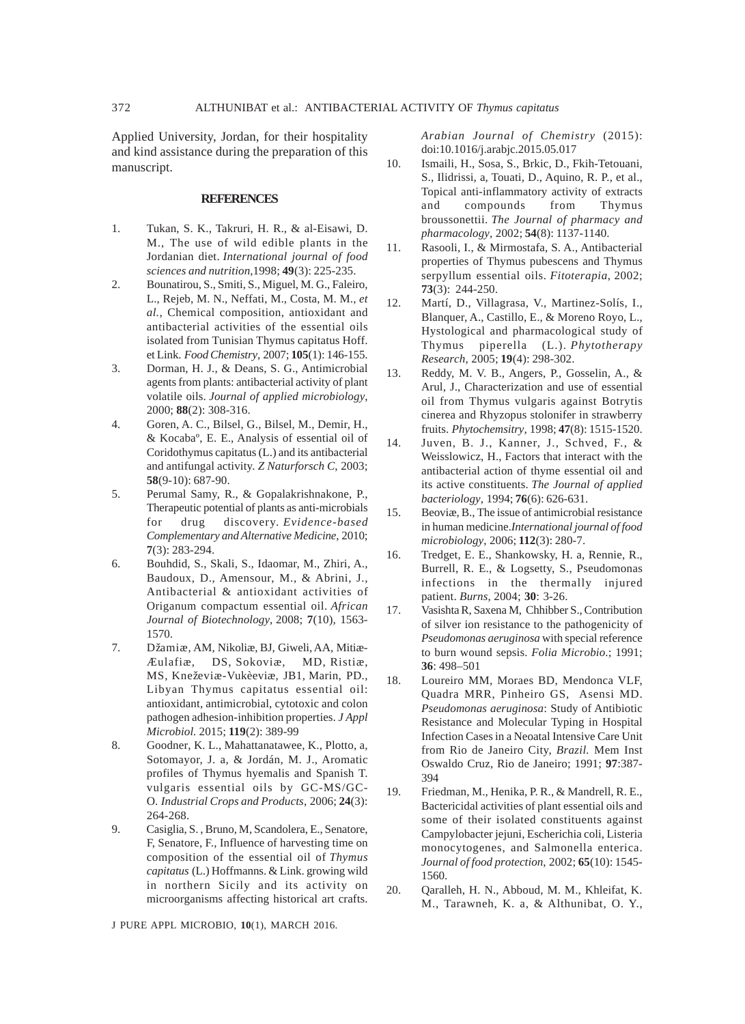Applied University, Jordan, for their hospitality and kind assistance during the preparation of this manuscript.

### **REFERENCES**

- 1. Tukan, S. K., Takruri, H. R., & al-Eisawi, D. M., The use of wild edible plants in the Jordanian diet. *International journal of food sciences and nutrition*,1998; **49**(3): 225-235.
- 2. Bounatirou, S., Smiti, S., Miguel, M. G., Faleiro, L., Rejeb, M. N., Neffati, M., Costa, M. M., *et al.,* Chemical composition, antioxidant and antibacterial activities of the essential oils isolated from Tunisian Thymus capitatus Hoff. et Link. *Food Chemistry*, 2007; **105**(1): 146-155.
- 3. Dorman, H. J., & Deans, S. G., Antimicrobial agents from plants: antibacterial activity of plant volatile oils. *Journal of applied microbiology*, 2000; **88**(2): 308-316.
- 4. Goren, A. C., Bilsel, G., Bilsel, M., Demir, H., & Kocabaº, E. E., Analysis of essential oil of Coridothymus capitatus (L.) and its antibacterial and antifungal activity. *Z Naturforsch C*, 2003; **58**(9-10): 687-90.
- 5. Perumal Samy, R., & Gopalakrishnakone, P., Therapeutic potential of plants as anti-microbials for drug discovery. *Evidence-based Complementary and Alternative Medicine*, 2010; **7**(3): 283-294.
- 6. Bouhdid, S., Skali, S., Idaomar, M., Zhiri, A., Baudoux, D., Amensour, M., & Abrini, J., Antibacterial & antioxidant activities of Origanum compactum essential oil. *African Journal of Biotechnology*, 2008; **7**(10), 1563- 1570.
- 7. Džamiæ, AM, Nikoliæ, BJ, Giweli, AA, Mitiæ-Æulafiæ, DS, Sokoviæ, MD, Ristiæ, MS, Kneževiæ-Vukèeviæ, JB1, Marin, PD., Libyan Thymus capitatus essential oil: antioxidant, antimicrobial, cytotoxic and colon pathogen adhesion-inhibition properties. *J Appl Microbiol.* 2015; **119**(2): 389-99
- 8. Goodner, K. L., Mahattanatawee, K., Plotto, a, Sotomayor, J. a, & Jordán, M. J., Aromatic profiles of Thymus hyemalis and Spanish T. vulgaris essential oils by GC-MS/GC-O. *Industrial Crops and Products*, 2006; **24**(3): 264-268.
- 9. Casiglia, S. , Bruno, M, Scandolera, E., Senatore, F, Senatore, F., Influence of harvesting time on composition of the essential oil of *Thymus capitatus* (L.) Hoffmanns. & Link. growing wild in northern Sicily and its activity on microorganisms affecting historical art crafts.

J PURE APPL MICROBIO*,* **10**(1), MARCH 2016.

*Arabian Journal of Chemistry* (2015): doi:10.1016/j.arabjc.2015.05.017

- 10. Ismaili, H., Sosa, S., Brkic, D., Fkih-Tetouani, S., Ilidrissi, a, Touati, D., Aquino, R. P., et al., Topical anti-inflammatory activity of extracts and compounds from Thymus broussonettii. *The Journal of pharmacy and pharmacology*, 2002; **54**(8): 1137-1140.
- 11. Rasooli, I., & Mirmostafa, S. A., Antibacterial properties of Thymus pubescens and Thymus serpyllum essential oils. *Fitoterapia*, 2002; **73**(3): 244-250.
- 12. Martí, D., Villagrasa, V., Martinez-Solís, I., Blanquer, A., Castillo, E., & Moreno Royo, L., Hystological and pharmacological study of Thymus piperella (L.). *Phytotherapy Research*, 2005; **19**(4): 298-302.
- 13. Reddy, M. V. B., Angers, P., Gosselin, A., & Arul, J., Characterization and use of essential oil from Thymus vulgaris against Botrytis cinerea and Rhyzopus stolonifer in strawberry fruits. *Phytochemsitry*, 1998; **47**(8): 1515-1520.
- 14. Juven, B. J., Kanner, J., Schved, F., & Weisslowicz, H., Factors that interact with the antibacterial action of thyme essential oil and its active constituents. *The Journal of applied bacteriology*, 1994; **76**(6): 626-631.
- 15. Beoviæ, B., The issue of antimicrobial resistance in human medicine.*International journal of food microbiology*, 2006; **112**(3): 280-7.
- 16. Tredget, E. E., Shankowsky, H. a, Rennie, R., Burrell, R. E., & Logsetty, S., Pseudomonas infections in the thermally injured patient. *Burns*, 2004; **30**: 3-26.
- 17. Vasishta R, Saxena M, Chhibber S., Contribution of silver ion resistance to the pathogenicity of *Pseudomonas aeruginosa* with special reference to burn wound sepsis. *Folia Microbio*.; 1991; **36**: 498–501
- 18. Loureiro MM, Moraes BD, Mendonca VLF, Quadra MRR, Pinheiro GS, Asensi MD. *Pseudomonas aeruginosa*: Study of Antibiotic Resistance and Molecular Typing in Hospital Infection Cases in a Neoatal Intensive Care Unit from Rio de Janeiro City, *Brazil.* Mem Inst Oswaldo Cruz, Rio de Janeiro; 1991; **97**:387- 394
- 19. Friedman, M., Henika, P. R., & Mandrell, R. E., Bactericidal activities of plant essential oils and some of their isolated constituents against Campylobacter jejuni, Escherichia coli, Listeria monocytogenes, and Salmonella enterica. *Journal of food protection*, 2002; **65**(10): 1545- 1560.
- 20. Qaralleh, H. N., Abboud, M. M., Khleifat, K. M., Tarawneh, K. a, & Althunibat, O. Y.,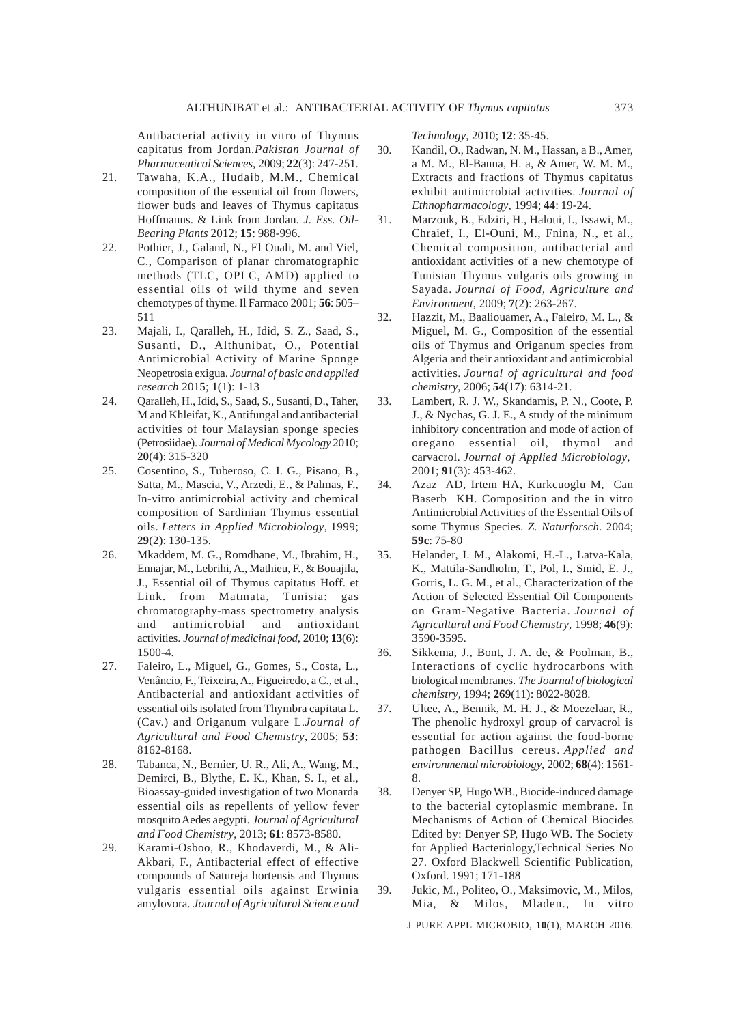Antibacterial activity in vitro of Thymus capitatus from Jordan.*Pakistan Journal of Pharmaceutical Sciences*, 2009; **22**(3): 247-251.

- 21. Tawaha, K.A., Hudaib, M.M., Chemical composition of the essential oil from flowers, flower buds and leaves of Thymus capitatus Hoffmanns. & Link from Jordan. *J. Ess. Oil-Bearing Plants* 2012; **15**: 988-996.
- 22. Pothier, J., Galand, N., El Ouali, M. and Viel, C., Comparison of planar chromatographic methods (TLC, OPLC, AMD) applied to essential oils of wild thyme and seven chemotypes of thyme. Il Farmaco 2001; **56**: 505– 511
- 23. Majali, I., Qaralleh, H., Idid, S. Z., Saad, S., Susanti, D., Althunibat, O., Potential Antimicrobial Activity of Marine Sponge Neopetrosia exigua. *Journal of basic and applied research* 2015; **1**(1): 1-13
- 24. Qaralleh, H., Idid, S., Saad, S., Susanti, D., Taher, M and Khleifat, K., Antifungal and antibacterial activities of four Malaysian sponge species (Petrosiidae). *Journal of Medical Mycology* 2010; **20**(4): 315-320
- 25. Cosentino, S., Tuberoso, C. I. G., Pisano, B., Satta, M., Mascia, V., Arzedi, E., & Palmas, F., In-vitro antimicrobial activity and chemical composition of Sardinian Thymus essential oils. *Letters in Applied Microbiology*, 1999; **29**(2): 130-135.
- 26. Mkaddem, M. G., Romdhane, M., Ibrahim, H., Ennajar, M., Lebrihi, A., Mathieu, F., & Bouajila, J., Essential oil of Thymus capitatus Hoff. et Link. from Matmata, Tunisia: gas chromatography-mass spectrometry analysis and antimicrobial and antioxidant activities. *Journal of medicinal food*, 2010; **13**(6): 1500-4.
- 27. Faleiro, L., Miguel, G., Gomes, S., Costa, L., Venâncio, F., Teixeira, A., Figueiredo, a C., et al., Antibacterial and antioxidant activities of essential oils isolated from Thymbra capitata L. (Cav.) and Origanum vulgare L.*Journal of Agricultural and Food Chemistry*, 2005; **53**: 8162-8168.
- 28. Tabanca, N., Bernier, U. R., Ali, A., Wang, M., Demirci, B., Blythe, E. K., Khan, S. I., et al., Bioassay-guided investigation of two Monarda essential oils as repellents of yellow fever mosquito Aedes aegypti. *Journal of Agricultural and Food Chemistry*, 2013; **61**: 8573-8580.
- 29. Karami-Osboo, R., Khodaverdi, M., & Ali-Akbari, F., Antibacterial effect of effective compounds of Satureja hortensis and Thymus vulgaris essential oils against Erwinia amylovora. *Journal of Agricultural Science and*

*Technology*, 2010; **12**: 35-45.

- 30. Kandil, O., Radwan, N. M., Hassan, a B., Amer, a M. M., El-Banna, H. a, & Amer, W. M. M., Extracts and fractions of Thymus capitatus exhibit antimicrobial activities. *Journal of Ethnopharmacology*, 1994; **44**: 19-24.
- 31. Marzouk, B., Edziri, H., Haloui, I., Issawi, M., Chraief, I., El-Ouni, M., Fnina, N., et al., Chemical composition, antibacterial and antioxidant activities of a new chemotype of Tunisian Thymus vulgaris oils growing in Sayada. *Journal of Food, Agriculture and Environment*, 2009; **7**(2): 263-267.
- 32. Hazzit, M., Baaliouamer, A., Faleiro, M. L., & Miguel, M. G., Composition of the essential oils of Thymus and Origanum species from Algeria and their antioxidant and antimicrobial activities. *Journal of agricultural and food chemistry*, 2006; **54**(17): 6314-21.
- 33. Lambert, R. J. W., Skandamis, P. N., Coote, P. J., & Nychas, G. J. E., A study of the minimum inhibitory concentration and mode of action of oregano essential oil, thymol and carvacrol. *Journal of Applied Microbiology*, 2001; **91**(3): 453-462.
- 34. Azaz AD, Irtem HA, Kurkcuoglu M, Can Baserb KH. Composition and the in vitro Antimicrobial Activities of the Essential Oils of some Thymus Species. *Z. Naturforsch*. 2004; **59c**: 75-80
- 35. Helander, I. M., Alakomi, H.-L., Latva-Kala, K., Mattila-Sandholm, T., Pol, I., Smid, E. J., Gorris, L. G. M., et al., Characterization of the Action of Selected Essential Oil Components on Gram-Negative Bacteria. *Journal of Agricultural and Food Chemistry*, 1998; **46**(9): 3590-3595.
- 36. Sikkema, J., Bont, J. A. de, & Poolman, B., Interactions of cyclic hydrocarbons with biological membranes. *The Journal of biological chemistry*, 1994; **269**(11): 8022-8028.
- 37. Ultee, A., Bennik, M. H. J., & Moezelaar, R., The phenolic hydroxyl group of carvacrol is essential for action against the food-borne pathogen Bacillus cereus. *Applied and environmental microbiology*, 2002; **68**(4): 1561- 8.
- 38. Denyer SP, Hugo WB., Biocide-induced damage to the bacterial cytoplasmic membrane. In Mechanisms of Action of Chemical Biocides Edited by: Denyer SP, Hugo WB. The Society for Applied Bacteriology,Technical Series No 27. Oxford Blackwell Scientific Publication, Oxford. 1991; 171-188
- 39. Jukic, M., Politeo, O., Maksimovic, M., Milos, Mia, & Milos, Mladen., In vitro

J PURE APPL MICROBIO*,* **10**(1), MARCH 2016.